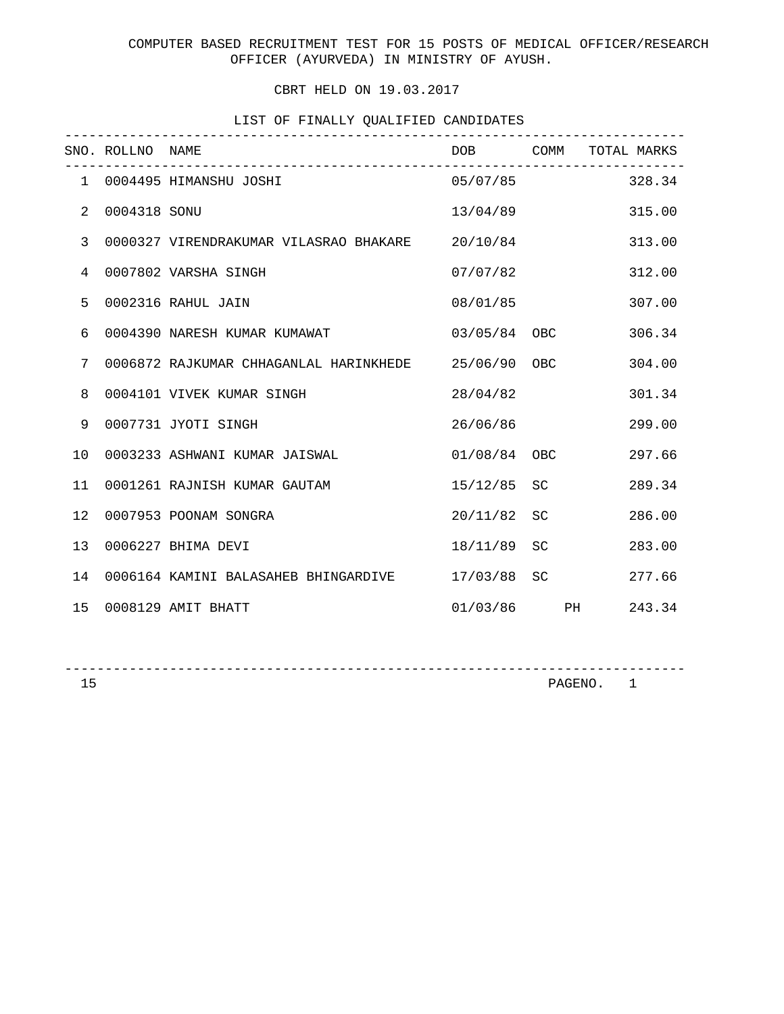## CBRT HELD ON 19.03.2017

# LIST OF FINALLY QUALIFIED CANDIDATES

|                | SNO. ROLLNO NAME | ---------------------------------               |              | DOB COMM TOTAL MARKS |
|----------------|------------------|-------------------------------------------------|--------------|----------------------|
|                |                  | 1 0004495 HIMANSHU JOSHI                        |              | $05/07/85$ 328.34    |
| $\overline{2}$ | 0004318 SONU     |                                                 | 13/04/89     | 315.00               |
| 3              |                  | 0000327 VIRENDRAKUMAR VILASRAO BHAKARE 20/10/84 |              | 313.00               |
| $\overline{4}$ |                  | 0007802 VARSHA SINGH                            | 07/07/82     | 312.00               |
| 5              |                  | 0002316 RAHUL JAIN                              | 08/01/85     | 307.00               |
| 6              |                  | 0004390 NARESH KUMAR KUMAWAT                    | 03/05/84 OBC | 306.34               |
| 7              |                  | 0006872 RAJKUMAR CHHAGANLAL HARINKHEDE          | 25/06/90 OBC | 304.00               |
| 8              |                  | 0004101 VIVEK KUMAR SINGH                       | 28/04/82     | 301.34               |
| 9              |                  | 0007731 JYOTI SINGH                             | 26/06/86     | 299.00               |
| 10             |                  | 0003233 ASHWANI KUMAR JAISWAL                   | 01/08/84 OBC | 297.66               |
| 11             |                  | 0001261 RAJNISH KUMAR GAUTAM                    | 15/12/85 SC  | 289.34               |
| 12             |                  | 0007953 POONAM SONGRA                           | 20/11/82 SC  | 286.00               |
| 13             |                  | 0006227 BHIMA DEVI                              | 18/11/89 SC  | 283.00               |
| 14             |                  | 0006164 KAMINI BALASAHEB BHINGARDIVE            | 17/03/88 SC  | 277.66               |
| 15             |                  | 0008129 AMIT BHATT                              |              | 01/03/86 PH 243.34   |

-----------------------------------------------------------------------------

PAGENO. 1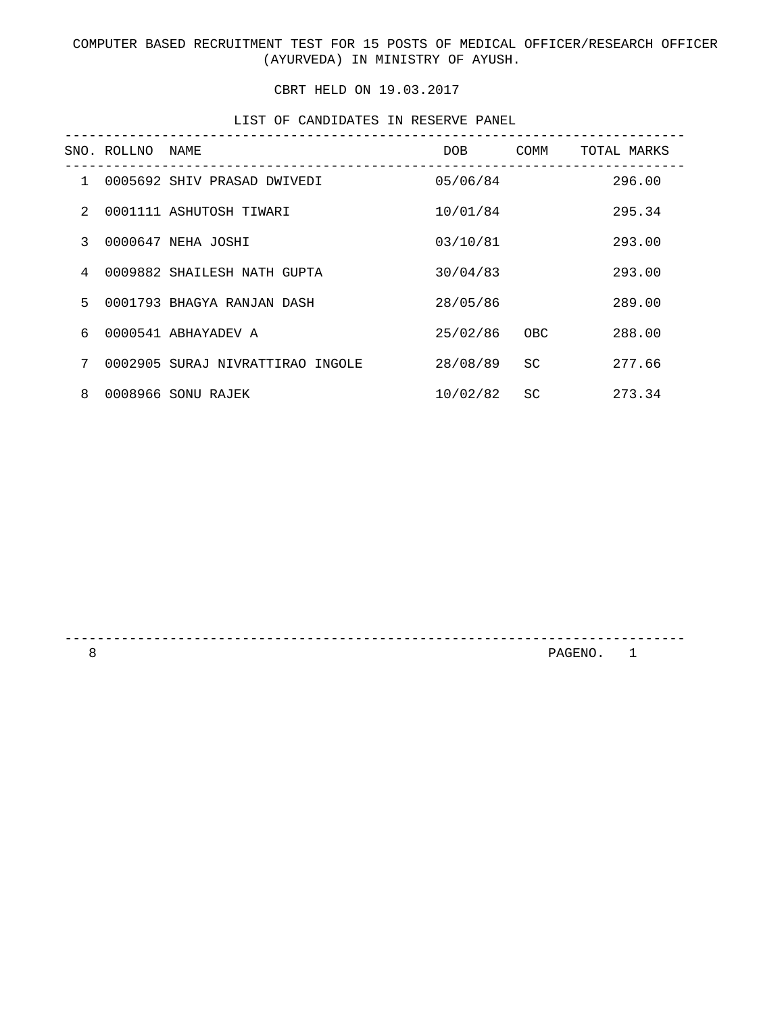COMPUTER BASED RECRUITMENT TEST FOR 15 POSTS OF MEDICAL OFFICER/RESEARCH OFFICER (AYURVEDA) IN MINISTRY OF AYUSH.

#### CBRT HELD ON 19.03.2017

LIST OF CANDIDATES IN RESERVE PANEL

|               | SNO. ROLLNO | NAME                             | DOB      | COMM      | TOTAL MARKS |
|---------------|-------------|----------------------------------|----------|-----------|-------------|
| $\mathbf{1}$  |             | 0005692 SHIV PRASAD DWIVEDI      | 05/06/84 |           | 296.00      |
| $\mathcal{L}$ |             | 0001111 ASHUTOSH TIWARI          | 10/01/84 |           | 295.34      |
| 3             |             | 0000647 NEHA JOSHI               | 03/10/81 |           | 293.00      |
| 4             |             | 0009882 SHAILESH NATH GUPTA      | 30/04/83 |           | 293.00      |
| 5.            |             | 0001793 BHAGYA RANJAN DASH       | 28/05/86 |           | 289.00      |
| 6             |             | 0000541 ABHAYADEV A              | 25/02/86 | OBC       | 288.00      |
| 7             |             | 0002905 SURAJ NIVRATTIRAO INGOLE | 28/08/89 | <b>SC</b> | 277.66      |
| 8             |             | 0008966 SONU RAJEK               | 10/02/82 | <b>SC</b> | 273.34      |

-----------------------------------------------------------------------------

8 PAGENO. 1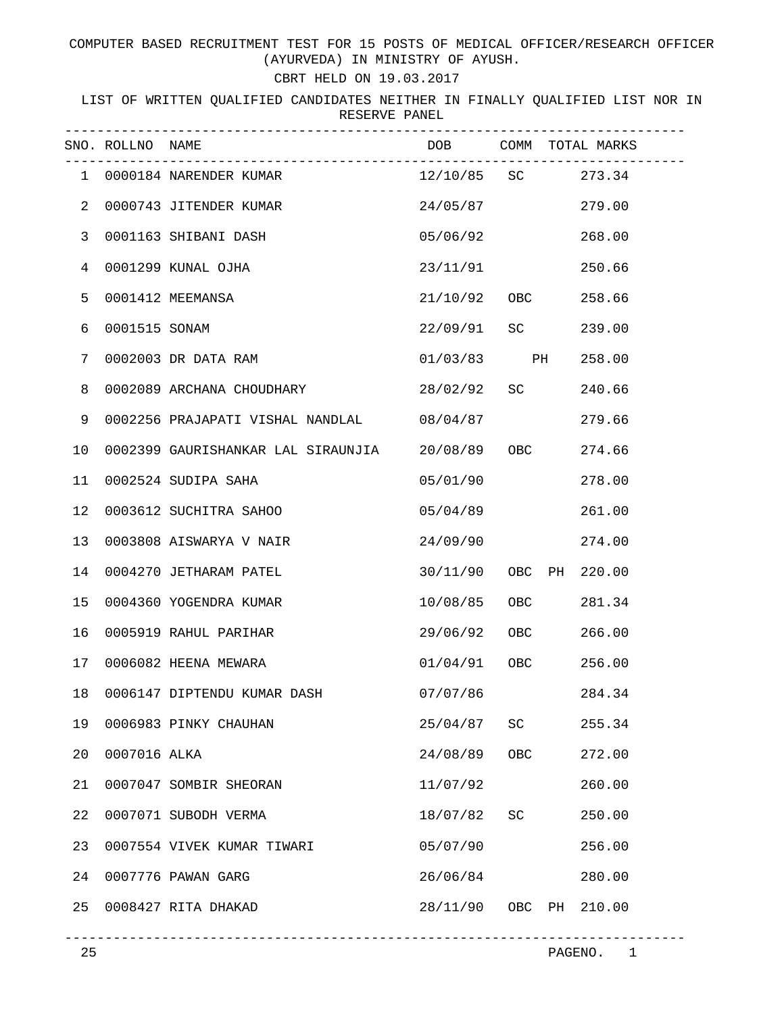COMPUTER BASED RECRUITMENT TEST FOR 15 POSTS OF MEDICAL OFFICER/RESEARCH OFFICER (AYURVEDA) IN MINISTRY OF AYUSH.

## CBRT HELD ON 19.03.2017

LIST OF WRITTEN QUALIFIED CANDIDATES NEITHER IN FINALLY QUALIFIED LIST NOR IN RESERVE PANEL

|                | SNO. ROLLNO NAME |                                    |                 |     | DOB COMM TOTAL MARKS |
|----------------|------------------|------------------------------------|-----------------|-----|----------------------|
| 1              |                  | 0000184 NARENDER KUMAR             |                 |     | 12/10/85 SC 273.34   |
| $\overline{a}$ |                  | 0000743 JITENDER KUMAR             | 24/05/87        |     | 279.00               |
| 3              |                  | 0001163 SHIBANI DASH               | 05/06/92        |     | 268.00               |
| 4              |                  | 0001299 KUNAL OJHA                 | 23/11/91        |     | 250.66               |
| 5              |                  | 0001412 MEEMANSA                   | 21/10/92 OBC    |     | 258.66               |
| 6              | 0001515 SONAM    |                                    | 22/09/91 SC     |     | 239.00               |
| 7              |                  | 0002003 DR DATA RAM                | 01/03/83 PH     |     | 258.00               |
| 8              |                  | 0002089 ARCHANA CHOUDHARY          | 28/02/92 SC     |     | 240.66               |
| 9              |                  | 0002256 PRAJAPATI VISHAL NANDLAL   | 08/04/87        |     | 279.66               |
| 10             |                  | 0002399 GAURISHANKAR LAL SIRAUNJIA | 20/08/89 OBC    |     | 274.66               |
| 11             |                  | 0002524 SUDIPA SAHA                | 05/01/90        |     | 278.00               |
| 12             |                  | 0003612 SUCHITRA SAHOO             | 05/04/89        |     | 261.00               |
| 13             |                  | 0003808 AISWARYA V NAIR            | 24/09/90        |     | 274.00               |
| 14             |                  | 0004270 JETHARAM PATEL             | 30/11/90 OBC PH |     | 220.00               |
| 15             |                  | 0004360 YOGENDRA KUMAR             | 10/08/85 OBC    |     | 281.34               |
| 16             |                  | 0005919 RAHUL PARIHAR              | 29/06/92 OBC    |     | 266.00               |
| 17             |                  | 0006082 HEENA MEWARA               | 01/04/91 OBC    |     | 256.00               |
| 18             |                  | 0006147 DIPTENDU KUMAR DASH        | 07/07/86        |     | 284.34               |
| 19             |                  | 0006983 PINKY CHAUHAN              | 25/04/87        | SC  | 255.34               |
| 20             | 0007016 ALKA     |                                    | 24/08/89        | OBC | 272.00               |
| 21             |                  | 0007047 SOMBIR SHEORAN             | 11/07/92        |     | 260.00               |
| 22             |                  | 0007071 SUBODH VERMA               | 18/07/82        | SC  | 250.00               |
| 23             |                  | 0007554 VIVEK KUMAR TIWARI         | 05/07/90        |     | 256.00               |
| 24             |                  | 0007776 PAWAN GARG                 | 26/06/84        |     | 280.00               |
| 25             |                  | 0008427 RITA DHAKAD                | 28/11/90        | OBC | 210.00<br>PH         |

-----------------------------------------------------------------------------